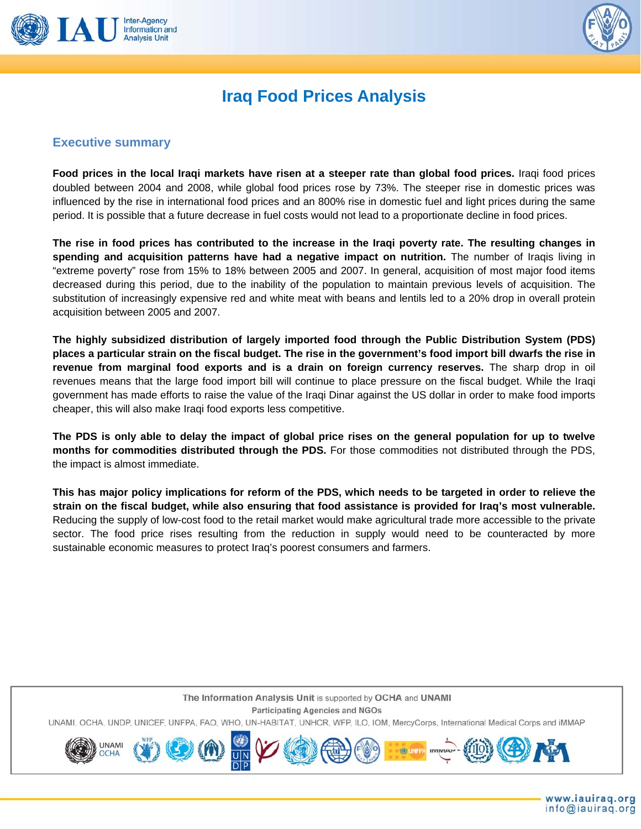



# **Iraq Food Prices Analysis**

## **Executive summary**

**Food prices in the local Iraqi markets have risen at a steeper rate than global food prices.** Iraqi food prices doubled between 2004 and 2008, while global food prices rose by 73%. The steeper rise in domestic prices was influenced by the rise in international food prices and an 800% rise in domestic fuel and light prices during the same period. It is possible that a future decrease in fuel costs would not lead to a proportionate decline in food prices.

**The rise in food prices has contributed to the increase in the Iraqi poverty rate. The resulting changes in spending and acquisition patterns have had a negative impact on nutrition.** The number of Iraqis living in "extreme poverty" rose from 15% to 18% between 2005 and 2007. In general, acquisition of most major food items decreased during this period, due to the inability of the population to maintain previous levels of acquisition. The substitution of increasingly expensive red and white meat with beans and lentils led to a 20% drop in overall protein acquisition between 2005 and 2007.

**The highly subsidized distribution of largely imported food through the Public Distribution System (PDS) places a particular strain on the fiscal budget. The rise in the government's food import bill dwarfs the rise in revenue from marginal food exports and is a drain on foreign currency reserves.** The sharp drop in oil revenues means that the large food import bill will continue to place pressure on the fiscal budget. While the Iraqi government has made efforts to raise the value of the Iraqi Dinar against the US dollar in order to make food imports cheaper, this will also make Iraqi food exports less competitive.

**The PDS is only able to delay the impact of global price rises on the general population for up to twelve months for commodities distributed through the PDS.** For those commodities not distributed through the PDS, the impact is almost immediate.

**This has major policy implications for reform of the PDS, which needs to be targeted in order to relieve the strain on the fiscal budget, while also ensuring that food assistance is provided for Iraq's most vulnerable.**  Reducing the supply of low-cost food to the retail market would make agricultural trade more accessible to the private sector. The food price rises resulting from the reduction in supply would need to be counteracted by more sustainable economic measures to protect Iraq's poorest consumers and farmers.

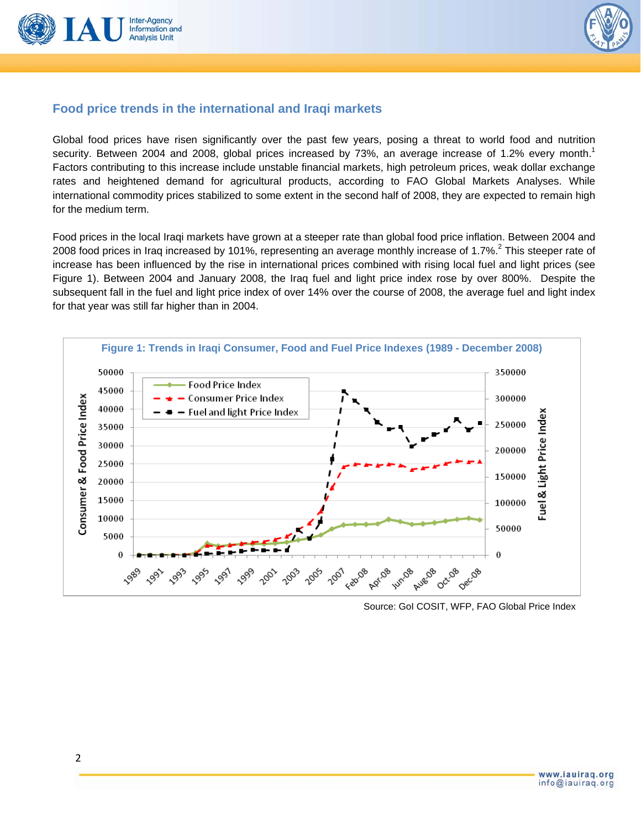



## **Food price trends in the international and Iraqi markets**

Global food prices have risen significantly over the past few years, posing a threat to world food and nutrition security. Between 2004 and 2008, global prices increased by 73%, an average increase of 1.2% every month.<sup>1</sup> Factors contributing to this increase include unstable financial markets, high petroleum prices, weak dollar exchange rates and heightened demand for agricultural products, according to FAO Global Markets Analyses. While international commodity prices stabilized to some extent in the second half of 2008, they are expected to remain high for the medium term.

Food prices in the local Iraqi markets have grown at a steeper rate than global food price inflation. Between 2004 and 2008 food prices in Iraq increased by 101%, representing an average monthly increase of 1.7%.<sup>2</sup> This steeper rate of increase has been influenced by the rise in international prices combined with rising local fuel and light prices (see Figure 1). Between 2004 and January 2008, the Iraq fuel and light price index rose by over 800%. Despite the subsequent fall in the fuel and light price index of over 14% over the course of 2008, the average fuel and light index for that year was still far higher than in 2004.



Source: GoI COSIT, WFP, FAO Global Price Index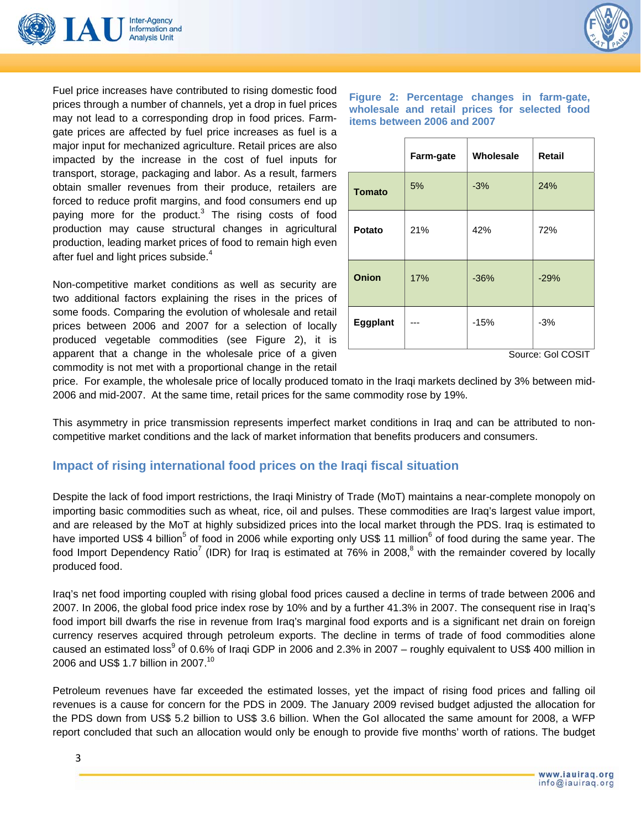



Fuel price increases have contributed to rising domestic food prices through a number of channels, yet a drop in fuel prices may not lead to a corresponding drop in food prices. Farmgate prices are affected by fuel price increases as fuel is a major input for mechanized agriculture. Retail prices are also impacted by the increase in the cost of fuel inputs for transport, storage, packaging and labor. As a result, farmers obtain smaller revenues from their produce, retailers are forced to reduce profit margins, and food consumers end up paying more for the product.<sup>3</sup> The rising costs of food production may cause structural changes in agricultural production, leading market prices of food to remain high even after fuel and light prices subside. $4$ 

Non-competitive market conditions as well as security are two additional factors explaining the rises in the prices of some foods. Comparing the evolution of wholesale and retail prices between 2006 and 2007 for a selection of locally produced vegetable commodities (see Figure 2), it is apparent that a change in the wholesale price of a given commodity is not met with a proportional change in the retail

**Figure 2: Percentage changes in farm-gate, wholesale and retail prices for selected food items between 2006 and 2007** 

|               | Farm-gate | Wholesale | <b>Retail</b>                   |
|---------------|-----------|-----------|---------------------------------|
| <b>Tomato</b> | 5%        | $-3%$     | 24%                             |
| <b>Potato</b> | 21%       | 42%       | 72%                             |
| <b>Onion</b>  | 17%       | $-36%$    | $-29%$                          |
| Eggplant      |           | $-15%$    | $-3%$<br><b>COURON COLODRIT</b> |

ource: Gol COSIT

price. For example, the wholesale price of locally produced tomato in the Iraqi markets declined by 3% between mid-2006 and mid-2007. At the same time, retail prices for the same commodity rose by 19%.

This asymmetry in price transmission represents imperfect market conditions in Iraq and can be attributed to noncompetitive market conditions and the lack of market information that benefits producers and consumers.

## **Impact of rising international food prices on the Iraqi fiscal situation**

Despite the lack of food import restrictions, the Iraqi Ministry of Trade (MoT) maintains a near-complete monopoly on importing basic commodities such as wheat, rice, oil and pulses. These commodities are Iraq's largest value import, and are released by the MoT at highly subsidized prices into the local market through the PDS. Iraq is estimated to have imported US\$ 4 billion<sup>5</sup> of food in 2006 while exporting only US\$ 11 million<sup>6</sup> of food during the same year. The food Import Dependency Ratio<sup>7</sup> (IDR) for Iraq is estimated at 76% in 2008,<sup>8</sup> with the remainder covered by locally produced food.

Iraq's net food importing coupled with rising global food prices caused a decline in terms of trade between 2006 and 2007. In 2006, the global food price index rose by 10% and by a further 41.3% in 2007. The consequent rise in Iraq's food import bill dwarfs the rise in revenue from Iraq's marginal food exports and is a significant net drain on foreign currency reserves acquired through petroleum exports. The decline in terms of trade of food commodities alone caused an estimated loss<sup>9</sup> of 0.6% of Iraqi GDP in 2006 and 2.3% in 2007 – roughly equivalent to US\$ 400 million in 2006 and US\$ 1.7 billion in 2007.<sup>10</sup>

Petroleum revenues have far exceeded the estimated losses, yet the impact of rising food prices and falling oil revenues is a cause for concern for the PDS in 2009. The January 2009 revised budget adjusted the allocation for the PDS down from US\$ 5.2 billion to US\$ 3.6 billion. When the GoI allocated the same amount for 2008, a WFP report concluded that such an allocation would only be enough to provide five months' worth of rations. The budget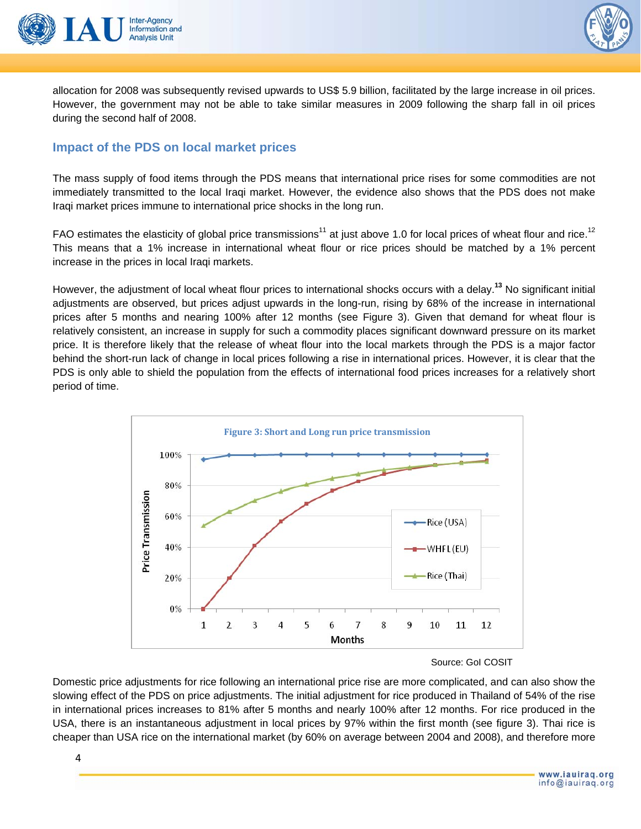



allocation for 2008 was subsequently revised upwards to US\$ 5.9 billion, facilitated by the large increase in oil prices. However, the government may not be able to take similar measures in 2009 following the sharp fall in oil prices during the second half of 2008.

## **Impact of the PDS on local market prices**

The mass supply of food items through the PDS means that international price rises for some commodities are not immediately transmitted to the local Iraqi market. However, the evidence also shows that the PDS does not make Iraqi market prices immune to international price shocks in the long run.

FAO estimates the elasticity of global price transmissions<sup>11</sup> at just above 1.0 for local prices of wheat flour and rice.<sup>12</sup> This means that a 1% increase in international wheat flour or rice prices should be matched by a 1% percent increase in the prices in local Iraqi markets.

However, the adjustment of local wheat flour prices to international shocks occurs with a delay.**<sup>13</sup>** No significant initial adjustments are observed, but prices adjust upwards in the long-run, rising by 68% of the increase in international prices after 5 months and nearing 100% after 12 months (see Figure 3). Given that demand for wheat flour is relatively consistent, an increase in supply for such a commodity places significant downward pressure on its market price. It is therefore likely that the release of wheat flour into the local markets through the PDS is a major factor behind the short-run lack of change in local prices following a rise in international prices. However, it is clear that the PDS is only able to shield the population from the effects of international food prices increases for a relatively short period of time.



#### Source: GoI COSIT

Domestic price adjustments for rice following an international price rise are more complicated, and can also show the slowing effect of the PDS on price adjustments. The initial adjustment for rice produced in Thailand of 54% of the rise in international prices increases to 81% after 5 months and nearly 100% after 12 months. For rice produced in the USA, there is an instantaneous adjustment in local prices by 97% within the first month (see figure 3). Thai rice is cheaper than USA rice on the international market (by 60% on average between 2004 and 2008), and therefore more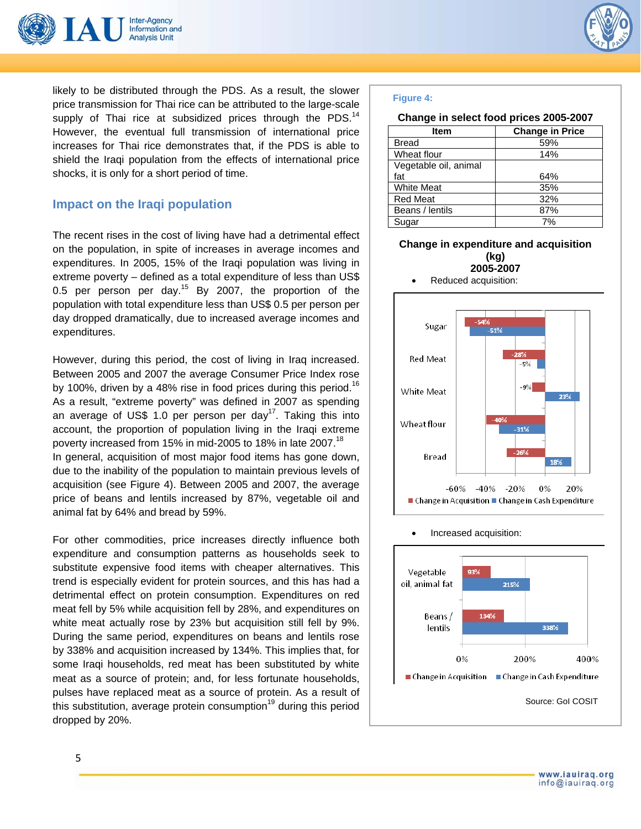



likely to be distributed through the PDS. As a result, the slower price transmission for Thai rice can be attributed to the large-scale supply of Thai rice at subsidized prices through the PDS.<sup>14</sup> However, the eventual full transmission of international price increases for Thai rice demonstrates that, if the PDS is able to shield the Iraqi population from the effects of international price shocks, it is only for a short period of time.

## **Impact on the Iraqi population**

The recent rises in the cost of living have had a detrimental effect on the population, in spite of increases in average incomes and expenditures. In 2005, 15% of the Iraqi population was living in extreme poverty – defined as a total expenditure of less than US\$ 0.5 per person per day.<sup>15</sup> By 2007, the proportion of the population with total expenditure less than US\$ 0.5 per person per day dropped dramatically, due to increased average incomes and expenditures.

However, during this period, the cost of living in Iraq increased. Between 2005 and 2007 the average Consumer Price Index rose by 100%, driven by a 48% rise in food prices during this period.<sup>16</sup> As a result, "extreme poverty" was defined in 2007 as spending an average of US\$ 1.0 per person per day<sup>17</sup>. Taking this into account, the proportion of population living in the Iraqi extreme poverty increased from 15% in mid-2005 to 18% in late 2007.<sup>18</sup> In general, acquisition of most major food items has gone down, due to the inability of the population to maintain previous levels of acquisition (see Figure 4). Between 2005 and 2007, the average price of beans and lentils increased by 87%, vegetable oil and animal fat by 64% and bread by 59%.

For other commodities, price increases directly influence both expenditure and consumption patterns as households seek to substitute expensive food items with cheaper alternatives. This trend is especially evident for protein sources, and this has had a detrimental effect on protein consumption. Expenditures on red meat fell by 5% while acquisition fell by 28%, and expenditures on white meat actually rose by 23% but acquisition still fell by 9%. During the same period, expenditures on beans and lentils rose by 338% and acquisition increased by 134%. This implies that, for some Iraqi households, red meat has been substituted by white meat as a source of protein; and, for less fortunate households, pulses have replaced meat as a source of protein. As a result of this substitution, average protein consumption<sup>19</sup> during this period dropped by 20%.

#### **Figure 4:**

#### **Change in select food prices 2005-2007**

| <b>Item</b>           | <b>Change in Price</b> |  |
|-----------------------|------------------------|--|
| <b>Bread</b>          | 59%                    |  |
| Wheat flour           | 14%                    |  |
| Vegetable oil, animal |                        |  |
| fat                   | 64%                    |  |
| <b>White Meat</b>     | 35%                    |  |
| <b>Red Meat</b>       | 32%                    |  |
| Beans / lentils       | 87%                    |  |
| Sugar                 | 7%                     |  |

#### **Change in expenditure and acquisition (kg) 2005-2007**





#### Increased acquisition:

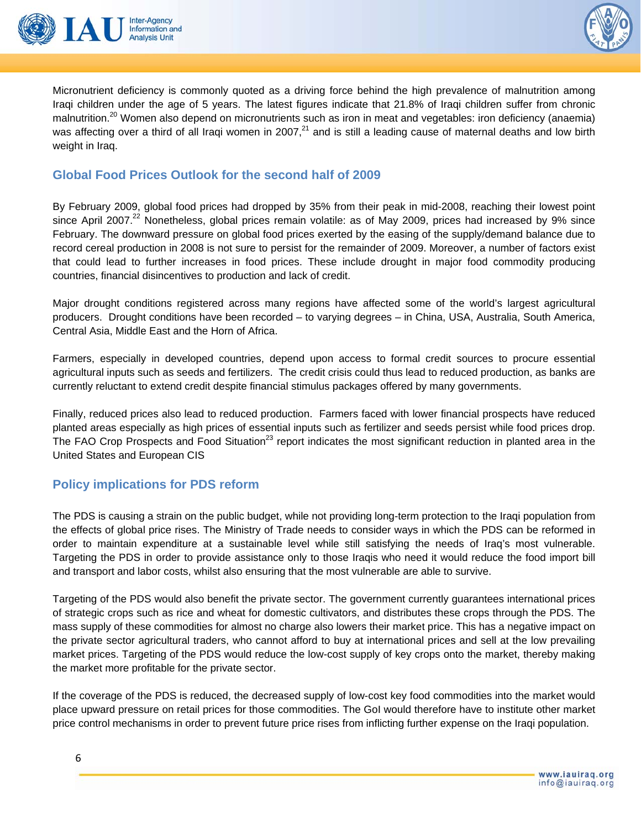



Micronutrient deficiency is commonly quoted as a driving force behind the high prevalence of malnutrition among Iraqi children under the age of 5 years. The latest figures indicate that 21.8% of Iraqi children suffer from chronic malnutrition.<sup>20</sup> Women also depend on micronutrients such as iron in meat and vegetables: iron deficiency (anaemia) was affecting over a third of all Iraqi women in 2007, $^{21}$  and is still a leading cause of maternal deaths and low birth weight in Iraq.

## **Global Food Prices Outlook for the second half of 2009**

By February 2009, global food prices had dropped by 35% from their peak in mid-2008, reaching their lowest point since April 2007.<sup>22</sup> Nonetheless, global prices remain volatile: as of May 2009, prices had increased by 9% since February. The downward pressure on global food prices exerted by the easing of the supply/demand balance due to record cereal production in 2008 is not sure to persist for the remainder of 2009. Moreover, a number of factors exist that could lead to further increases in food prices. These include drought in major food commodity producing countries, financial disincentives to production and lack of credit.

Major drought conditions registered across many regions have affected some of the world's largest agricultural producers. Drought conditions have been recorded – to varying degrees – in China, USA, Australia, South America, Central Asia, Middle East and the Horn of Africa.

Farmers, especially in developed countries, depend upon access to formal credit sources to procure essential agricultural inputs such as seeds and fertilizers. The credit crisis could thus lead to reduced production, as banks are currently reluctant to extend credit despite financial stimulus packages offered by many governments.

Finally, reduced prices also lead to reduced production. Farmers faced with lower financial prospects have reduced planted areas especially as high prices of essential inputs such as fertilizer and seeds persist while food prices drop. The FAO Crop Prospects and Food Situation<sup>23</sup> report indicates the most significant reduction in planted area in the United States and European CIS

## **Policy implications for PDS reform**

The PDS is causing a strain on the public budget, while not providing long-term protection to the Iraqi population from the effects of global price rises. The Ministry of Trade needs to consider ways in which the PDS can be reformed in order to maintain expenditure at a sustainable level while still satisfying the needs of Iraq's most vulnerable. Targeting the PDS in order to provide assistance only to those Iraqis who need it would reduce the food import bill and transport and labor costs, whilst also ensuring that the most vulnerable are able to survive.

Targeting of the PDS would also benefit the private sector. The government currently guarantees international prices of strategic crops such as rice and wheat for domestic cultivators, and distributes these crops through the PDS. The mass supply of these commodities for almost no charge also lowers their market price. This has a negative impact on the private sector agricultural traders, who cannot afford to buy at international prices and sell at the low prevailing market prices. Targeting of the PDS would reduce the low-cost supply of key crops onto the market, thereby making the market more profitable for the private sector.

If the coverage of the PDS is reduced, the decreased supply of low-cost key food commodities into the market would place upward pressure on retail prices for those commodities. The GoI would therefore have to institute other market price control mechanisms in order to prevent future price rises from inflicting further expense on the Iraqi population.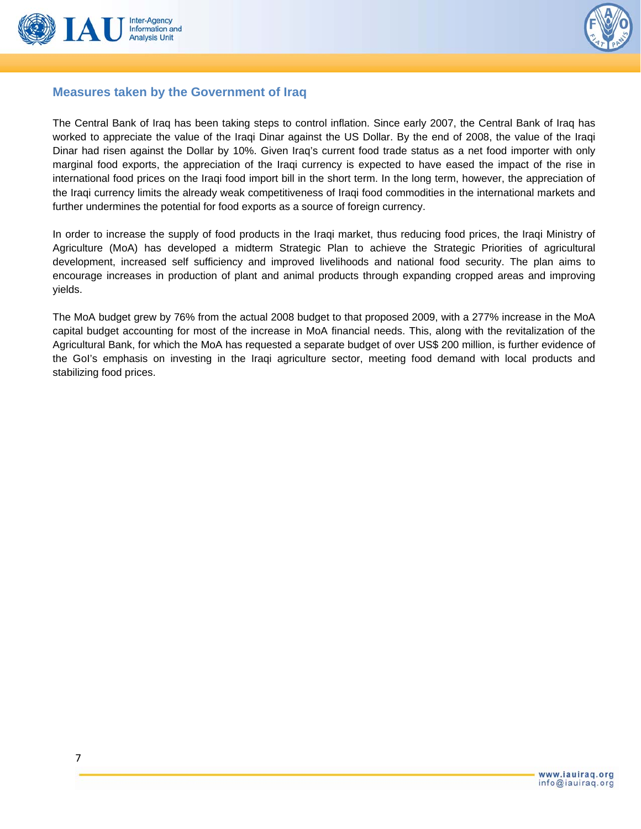



### **Measures taken by the Government of Iraq**

The Central Bank of Iraq has been taking steps to control inflation. Since early 2007, the Central Bank of Iraq has worked to appreciate the value of the Iraqi Dinar against the US Dollar. By the end of 2008, the value of the Iraqi Dinar had risen against the Dollar by 10%. Given Iraq's current food trade status as a net food importer with only marginal food exports, the appreciation of the Iraqi currency is expected to have eased the impact of the rise in international food prices on the Iraqi food import bill in the short term. In the long term, however, the appreciation of the Iraqi currency limits the already weak competitiveness of Iraqi food commodities in the international markets and further undermines the potential for food exports as a source of foreign currency.

In order to increase the supply of food products in the Iraqi market, thus reducing food prices, the Iraqi Ministry of Agriculture (MoA) has developed a midterm Strategic Plan to achieve the Strategic Priorities of agricultural development, increased self sufficiency and improved livelihoods and national food security. The plan aims to encourage increases in production of plant and animal products through expanding cropped areas and improving yields.

The MoA budget grew by 76% from the actual 2008 budget to that proposed 2009, with a 277% increase in the MoA capital budget accounting for most of the increase in MoA financial needs. This, along with the revitalization of the Agricultural Bank, for which the MoA has requested a separate budget of over US\$ 200 million, is further evidence of the GoI's emphasis on investing in the Iraqi agriculture sector, meeting food demand with local products and stabilizing food prices.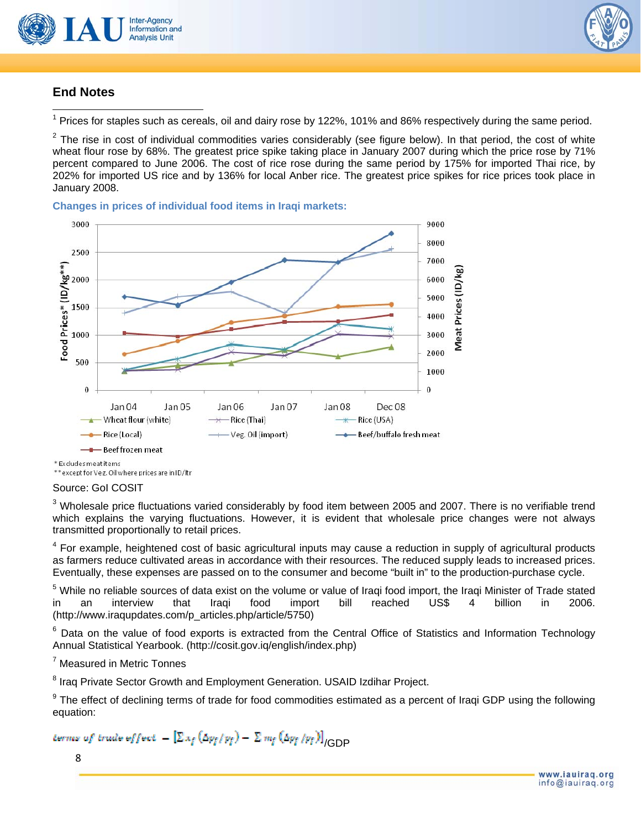



## **End Notes**

  $1$  Prices for staples such as cereals, oil and dairy rose by 122%, 101% and 86% respectively during the same period.

 $2$  The rise in cost of individual commodities varies considerably (see figure below). In that period, the cost of white wheat flour rose by 68%. The greatest price spike taking place in January 2007 during which the price rose by 71% percent compared to June 2006. The cost of rice rose during the same period by 175% for imported Thai rice, by 202% for imported US rice and by 136% for local Anber rice. The greatest price spikes for rice prices took place in January 2008.





\*\*except for Veg. Oil where prices are in ID/ltr

#### Source: GoI COSIT

 $3$  Wholesale price fluctuations varied considerably by food item between 2005 and 2007. There is no verifiable trend which explains the varying fluctuations. However, it is evident that wholesale price changes were not always transmitted proportionally to retail prices.

<sup>4</sup> For example, heightened cost of basic agricultural inputs may cause a reduction in supply of agricultural products as farmers reduce cultivated areas in accordance with their resources. The reduced supply leads to increased prices. Eventually, these expenses are passed on to the consumer and become "built in" to the production-purchase cycle.

<sup>5</sup> While no reliable sources of data exist on the volume or value of Iraqi food import, the Iraqi Minister of Trade stated in an interview that Iraqi food import bill reached US\$ 4 billion in 2006. (http://www.iraqupdates.com/p\_articles.php/article/5750)

 $6$  Data on the value of food exports is extracted from the Central Office of Statistics and Information Technology Annual Statistical Yearbook. (http://cosit.gov.iq/english/index.php)

<sup>7</sup> Measured in Metric Tonnes

 $^8$  Iraq Private Sector Growth and Employment Generation. USAID Izdihar Project.

<sup>9</sup> The effect of declining terms of trade for food commodities estimated as a percent of Iraqi GDP using the following equation:

terms of trade effect  $=[\sum x_f(\Delta p_f/p_f) - \sum m_f(\Delta p_f/p_f)]_{/\text{GDP}}$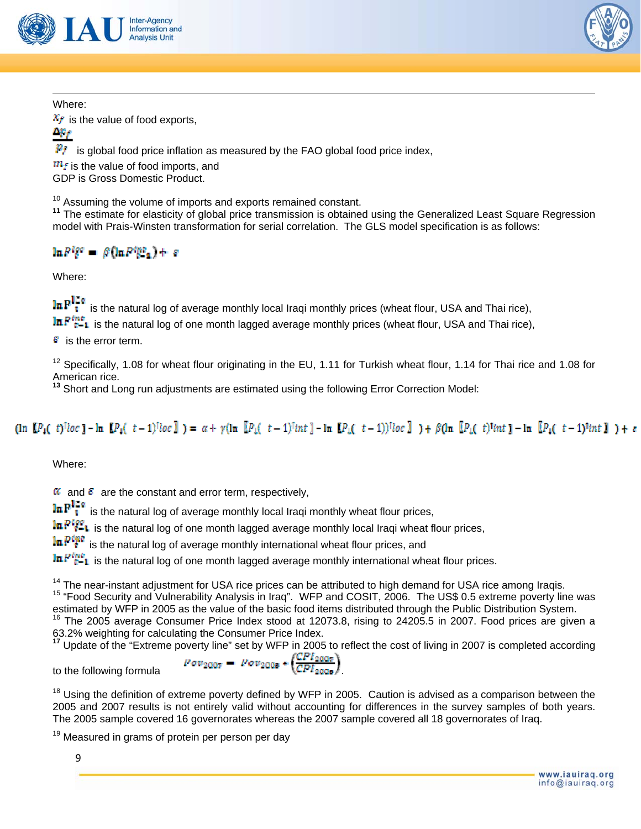



Where:

 $x_i$  is the value of food exports,

Δp<sub>f</sub>

 $P_I$  is global food price inflation as measured by the FAO global food price index,

 $m<sub>f</sub>$  is the value of food imports, and

GDP is Gross Domestic Product.

<sup>10</sup> Assuming the volume of imports and exports remained constant.<br><sup>11</sup> The estimate for elasticity of global price transmission is obtained using the Generalized Least Square Regression model with Prais-Winsten transformation for serial correlation. The GLS model specification is as follows:

<u> 1989 - Andrea Santa Andrea Andrea Andrea Andrea Andrea Andrea Andrea Andrea Andrea Andrea Andrea Andrea Andr</u>

## $\ln P^{leg} = \beta(\ln P^{leg}) + \varepsilon$

Where:

**In P<sup>120</sup>** is the natural log of average monthly local Iraqi monthly prices (wheat flour, USA and Thai rice),

 $\ln F_{t-1}^{int}$  is the natural log of one month lagged average monthly prices (wheat flour, USA and Thai rice),

 $\epsilon$  is the error term.

<sup>12</sup> Specifically, 1.08 for wheat flour originating in the EU, 1.11 for Turkish wheat flour, 1.14 for Thai rice and 1.08 for American rice.

**<sup>13</sup>** Short and Long run adjustments are estimated using the following Error Correction Model:

# (In  $[P_1(t)^T \log 1 - \ln [P_1(t-1)^T \log 1] = \alpha + \gamma (\ln [P_1(t-1)^T \ln t] - \ln [P_1(t-1)^T \log 1] + \beta (\ln [P_1(t)^T \ln t] - \ln [P_1(t-1)^T \ln t]) + \epsilon$

Where:

 $\alpha$  and  $\epsilon$  are the constant and error term, respectively,

 $\ln P_1^{\log}$  is the natural log of average monthly local Iraqi monthly wheat flour prices,

 $\ln P_{n-1}^{log}$  is the natural log of one month lagged average monthly local Iraqi wheat flour prices,

**ln** Ptr<sup>e</sup> is the natural log of average monthly international wheat flour prices, and

 $\ln F_{t-1}^{inter}$  is the natural log of one month lagged average monthly international wheat flour prices.

<sup>14</sup> The near-instant adjustment for USA rice prices can be attributed to high demand for USA rice among Iraqis.<br><sup>15</sup> "Food Security and Vulnerability Analysis in Iraq". WFP and COSIT, 2006. The US\$ 0.5 extreme poverty li

estimated by WFP in 2005 as the value of the basic food items distributed through the Public Distribution System.<br><sup>16</sup> The 2005 average Consumer Price Index stood at 12073.8, rising to 24205.5 in 2007. Food prices are give

63.2% weighting for calculating the Consumer Price Index.

**<sup>17</sup>** Update of the "Extreme poverty line" set by WFP in 2005 to reflect the cost of living in 2007 is completed according

to the following formula  $\{CPI_{200\sigma}\}$ 

<sup>18</sup> Using the definition of extreme poverty defined by WFP in 2005. Caution is advised as a comparison between the 2005 and 2007 results is not entirely valid without accounting for differences in the survey samples of both years. The 2005 sample covered 16 governorates whereas the 2007 sample covered all 18 governorates of Iraq.

<sup>19</sup> Measured in grams of protein per person per day

9